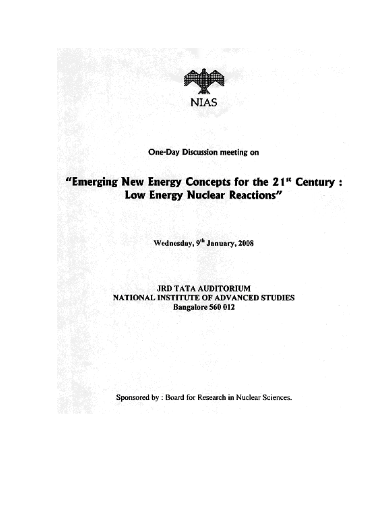

### One-Day Discussion meeting on

# "Emerging New Energy Concepts for the 21<sup>st</sup> Century: Low Energy Nuclear Reactions"

Wednesday, 9th January, 2008

### **JRD TATA AUDITORIUM** NATIONAL INSTITUTE OF ADVANCED STUDIES Bangalore 560 012

Sponsored by : Board for Research in Nuclear Sciences.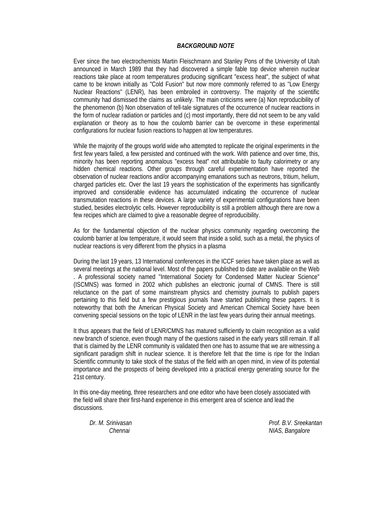#### *BACKGROUND NOTE*

Ever since the two electrochemists Martin Fleischmann and Stanley Pons of the University of Utah announced in March 1989 that they had discovered a simple fable top device wherein nuclear reactions take place at room temperatures producing significant "excess heat", the subject of what came to be known initially as "Cold Fusion" but now more commonly referred to as "Low Energy Nuclear Reactions" (LENR), has been embroiled in controversy. The majority of the scientific community had dismissed the claims as unlikely. The main criticisms were (a) Non reproducibility of the phenomenon (b) Non observation of tell-tale signatures of the occurrence of nuclear reactions in the form of nuclear radiation or particles and (c) most importantly, there did not seem to be any valid explanation or theory as to how the coulomb barrier can be overcome in these experimental configurations for nuclear fusion reactions to happen at low temperatures.

While the majority of the groups world wide who attempted to replicate the original experiments in the first few years failed, a few persisted and continued with the work. With patience and over time, this, minority has been reporting anomalous "excess heat" not attributable to faulty calorimetry or any hidden chemical reactions. Other groups through careful experimentation have reported the observation of nuclear reactions and/or accompanying emanations such as neutrons, tritium, helium, charged particles etc. Over the last 19 years the sophistication of the experiments has significantly improved and considerable evidence has accumulated indicating the occurrence of nuclear transmutation reactions in these devices. A large variety of experimental configurations have been studied, besides electrolytic cells. However reproducibility is still a problem although there are now a few recipes which are claimed to give a reasonable degree of reproducibility.

As for the fundamental objection of the nuclear physics community regarding overcoming the coulomb barrier at low temperature, it would seem that inside a solid, such as a metal, the physics of nuclear reactions is very different from the physics in a plasma

During the last 19 years, 13 International conferences in the ICCF series have taken place as well as several meetings at the national level. Most of the papers published to date are available on the Web . A professional society named "International Society for Condensed Matter Nuclear Science" (ISCMNS) was formed in 2002 which publishes an electronic journal of CMNS. There is still reluctance on the part of some mainstream physics and chemistry journals to publish papers pertaining to this field but a few prestigious journals have started publishing these papers. It is noteworthy that both the American Physical Society and American Chemical Society have been convening special sessions on the topic of LENR in the last few years during their annual meetings.

It thus appears that the field of LENR/CMNS has matured sufficiently to claim recognition as a valid new branch of science, even though many of the questions raised in the early years still remain. If all that is claimed by the LENR community is validated then one has to assume that we are witnessing a significant paradigm shift in nuclear science. It is therefore felt that the time is ripe for the Indian Scientific community to take stock of the status of the field with an open mind, in view of its potential importance and the prospects of being developed into a practical energy generating source for the 21st century.

In this one-day meeting, three researchers and one editor who have been closely associated with the field will share their first-hand experience in this emergent area of science and lead the discussions.

*Dr. M. Srinivasan Prof. B.V. Sreekantan*  **Chennai** NIAS, Bangalore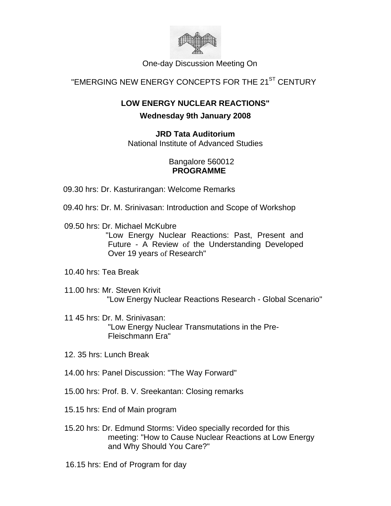

One-day Discussion Meeting On

# "EMERGING NEW ENERGY CONCEPTS FOR THE 21<sup>ST</sup> CENTURY

# **LOW ENERGY NUCLEAR REACTIONS" Wednesday 9th January 2008**

**JRD Tata Auditorium**  National Institute of Advanced Studies

### Bangalore 560012 **PROGRAMME**

- 09.30 hrs: Dr. Kasturirangan: Welcome Remarks
- 09.40 hrs: Dr. M. Srinivasan: Introduction and Scope of Workshop
- 09.50 hrs: Dr. Michael McKubre

"Low Energy Nuclear Reactions: Past, Present and Future - A Review of the Understanding Developed Over 19 years of Research"

- 10.40 hrs: Tea Break
- 11.00 hrs: Mr. Steven Krivit "Low Energy Nuclear Reactions Research - Global Scenario"
- 11 45 hrs: Dr. M. Srinivasan: "Low Energy Nuclear Transmutations in the Pre-Fleischmann Era"
- 12. 35 hrs: Lunch Break
- 14.00 hrs: Panel Discussion: "The Way Forward"
- 15.00 hrs: Prof. B. V. Sreekantan: Closing remarks
- 15.15 hrs: End of Main program
- 15.20 hrs: Dr. Edmund Storms: Video specially recorded for this meeting: "How to Cause Nuclear Reactions at Low Energy and Why Should You Care?"
- 16.15 hrs: End of Program for day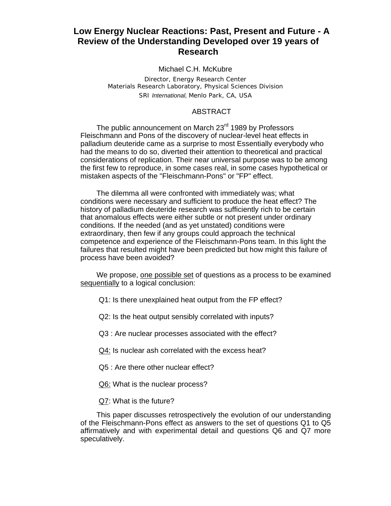### **Low Energy Nuclear Reactions: Past, Present and Future - A Review of the Understanding Developed over 19 years of Research**

#### Michael C.H. McKubre

*Director, Energy Research Center Materials Research Laboratory, Physical Sciences Division SRI International, Menlo Park, CA, USA* 

#### ABSTRACT

The public announcement on March 23<sup>rd</sup> 1989 by Professors Fleischmann and Pons of the discovery of nuclear-level heat effects in palladium deuteride came as a surprise to most Essentially everybody who had the means to do so, diverted their attention to theoretical and practical considerations of replication. Their near universal purpose was to be among the first few to reproduce, in some cases real, in some cases hypothetical or mistaken aspects of the "Fleischmann-Pons" or "FP" effect.

The dilemma all were confronted with immediately was; what conditions were necessary and sufficient to produce the heat effect? The history of palladium deuteride research was sufficiently rich to be certain that anomalous effects were either subtle or not present under ordinary conditions. If the needed (and as yet unstated) conditions were extraordinary, then few if any groups could approach the technical competence and experience of the Fleischmann-Pons team. In this light the failures that resulted might have been predicted but how might this failure of process have been avoided?

We propose, one possible set of questions as a process to be examined sequentially to a logical conclusion:

Q1: Is there unexplained heat output from the FP effect?

Q2: Is the heat output sensibly correlated with inputs?

Q3 : Are nuclear processes associated with the effect?

Q4: Is nuclear ash correlated with the excess heat?

Q5 : Are there other nuclear effect?

Q6: What is the nuclear process?

Q7: What is the future?

This paper discusses retrospectively the evolution of our understanding of the Fleischmann-Pons effect as answers to the set of questions Q1 to Q5 affirmatively and with experimental detail and questions Q6 and Q7 more speculatively.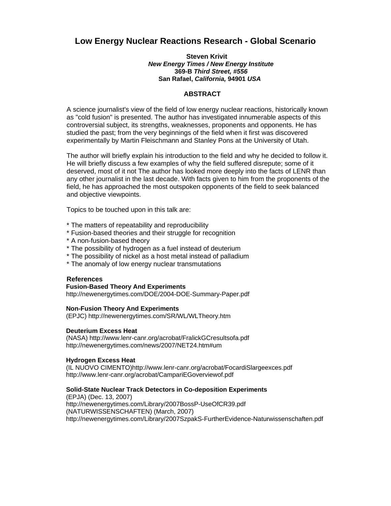### **Low Energy Nuclear Reactions Research - Global Scenario**

#### **Steven Krivit**  *New Energy Times / New Energy Institute*  **369-B** *Third Street, #556*  **San Rafael,** *California,* **94901** *USA*

#### **ABSTRACT**

A science journalist's view of the field of low energy nuclear reactions, historically known as "cold fusion" is presented. The author has investigated innumerable aspects of this controversial subject, its strengths, weaknesses, proponents and opponents. He has studied the past; from the very beginnings of the field when it first was discovered experimentally by Martin Fleischmann and Stanley Pons at the University of Utah.

The author will briefly explain his introduction to the field and why he decided to follow it. He will briefly discuss a few examples of why the field suffered disrepute; some of it deserved, most of it not The author has looked more deeply into the facts of LENR than any other journalist in the last decade. With facts given to him from the proponents of the field, he has approached the most outspoken opponents of the field to seek balanced and objective viewpoints.

Topics to be touched upon in this talk are:

- \* The matters of repeatability and reproducibility
- \* Fusion-based theories and their struggle for recognition
- \* A non-fusion-based theory
- \* The possibility of hydrogen as a fuel instead of deuterium
- \* The possibility of nickel as a host metal instead of palladium
- \* The anomaly of low energy nuclear transmutations

#### **References**

#### **Fusion-Based Theory And Experiments**

http://newenergytimes.com/DOE/2004-DOE-Summary-Paper.pdf

#### **Non-Fusion Theory And Experiments**

(EPJC) http://newenergytimes.com/SR/WL/WLTheory.htm

#### **Deuterium Excess Heat**

(NASA) http://www.lenr-canr.org/acrobat/FralickGCresultsofa.pdf http://newenergytimes.com/news/2007/NET24.htm#um

#### **Hydrogen Excess Heat**

(IL NUOVO CIMENTO)http://www.lenr-canr.org/acrobat/FocardiSlargeexces.pdf http://www.lenr-canr.org/acrobat/CampariEGoverviewof.pdf

#### **Solid-State Nuclear Track Detectors in Co-deposition Experiments**

(EPJA) (Dec. 13, 2007) http://newenergytimes.com/Library/2007BossP-UseOfCR39.pdf (NATURWISSENSCHAFTEN) (March, 2007) http://newenergytimes.com/Library/2007SzpakS-FurtherEvidence-Naturwissenschaften.pdf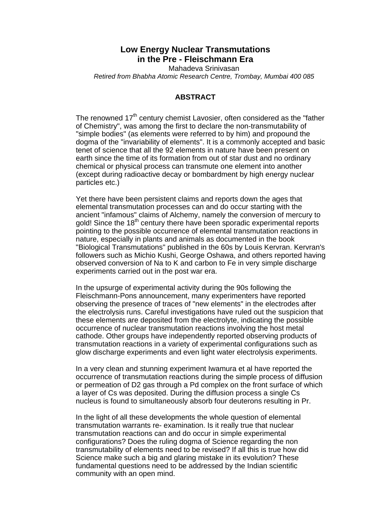### **Low Energy Nuclear Transmutations in the Pre - Fleischmann Era**

Mahadeva Srinivasan *Retired from Bhabha Atomic Research Centre, Trombay, Mumbai 400 085* 

#### **ABSTRACT**

The renowned  $17<sup>th</sup>$  century chemist Lavosier, often considered as the "father of Chemistry", was among the first to declare the non-transmutability of "simple bodies" (as elements were referred to by him) and propound the dogma of the "invariability of elements". It is a commonly accepted and basic tenet of science that all the 92 elements in nature have been present on earth since the time of its formation from out of star dust and no ordinary chemical or physical process can transmute one element into another (except during radioactive decay or bombardment by high energy nuclear particles etc.)

Yet there have been persistent claims and reports down the ages that elemental transmutation processes can and do occur starting with the ancient "infamous" claims of Alchemy, namely the conversion of mercury to gold! Since the 18<sup>th</sup> century there have been sporadic experimental reports pointing to the possible occurrence of elemental transmutation reactions in nature, especially in plants and animals as documented in the book "Biological Transmutations" published in the 60s by Louis Kervran. Kervran's followers such as Michio Kushi, George Oshawa, and others reported having observed conversion of Na to K and carbon to Fe in very simple discharge experiments carried out in the post war era.

In the upsurge of experimental activity during the 90s following the Fleischmann-Pons announcement, many experimenters have reported observing the presence of traces of "new elements" in the electrodes after the electrolysis runs. Careful investigations have ruled out the suspicion that these elements are deposited from the electrolyte, indicating the possible occurrence of nuclear transmutation reactions involving the host metal cathode. Other groups have independently reported observing products of transmutation reactions in a variety of experimental configurations such as glow discharge experiments and even light water electrolysis experiments.

In a very clean and stunning experiment Iwamura et al have reported the occurrence of transmutation reactions during the simple process of diffusion or permeation of D2 gas through a Pd complex on the front surface of which a layer of Cs was deposited. During the diffusion process a single Cs nucleus is found to simultaneously absorb four deuterons resulting in Pr.

In the light of all these developments the whole question of elemental transmutation warrants re- examination. Is it really true that nuclear transmutation reactions can and do occur in simple experimental configurations? Does the ruling dogma of Science regarding the non transmutability of elements need to be revised? If all this is true how did Science make such a big and glaring mistake in its evolution? These fundamental questions need to be addressed by the Indian scientific community with an open mind.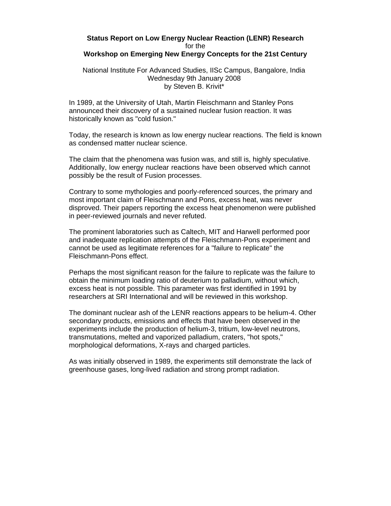#### **Status Report on Low Energy Nuclear Reaction (LENR) Research**  for the **Workshop on Emerging New Energy Concepts for the 21st Century**

National Institute For Advanced Studies, IISc Campus, Bangalore, India Wednesday 9th January 2008 by Steven B. Krivit\*

In 1989, at the University of Utah, Martin Fleischmann and Stanley Pons announced their discovery of a sustained nuclear fusion reaction. It was historically known as "cold fusion."

Today, the research is known as low energy nuclear reactions. The field is known as condensed matter nuclear science.

The claim that the phenomena was fusion was, and still is, highly speculative. Additionally, low energy nuclear reactions have been observed which cannot possibly be the result of Fusion processes.

Contrary to some mythologies and poorly-referenced sources, the primary and most important claim of Fleischmann and Pons, excess heat, was never disproved. Their papers reporting the excess heat phenomenon were published in peer-reviewed journals and never refuted.

The prominent laboratories such as Caltech, MIT and Harwell performed poor and inadequate replication attempts of the Fleischmann-Pons experiment and cannot be used as legitimate references for a "failure to replicate" the Fleischmann-Pons effect.

Perhaps the most significant reason for the failure to replicate was the failure to obtain the minimum loading ratio of deuterium to palladium, without which, excess heat is not possible. This parameter was first identified in 1991 by researchers at SRI International and will be reviewed in this workshop.

The dominant nuclear ash of the LENR reactions appears to be helium-4. Other secondary products, emissions and effects that have been observed in the experiments include the production of helium-3, tritium, low-level neutrons, transmutations, melted and vaporized palladium, craters, "hot spots," morphological deformations, X-rays and charged particles.

As was initially observed in 1989, the experiments still demonstrate the lack of greenhouse gases, long-lived radiation and strong prompt radiation.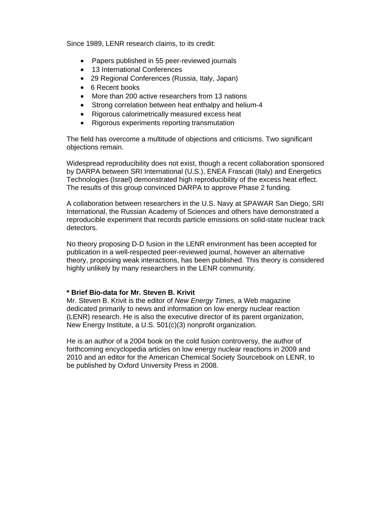Since 1989, LENR research claims, to its credit:

- Papers published in 55 peer-reviewed journals
- 13 International Conferences
- 29 Regional Conferences (Russia, Italy, Japan)
- 6 Recent books
- More than 200 active researchers from 13 nations
- Strong correlation between heat enthalpy and helium-4
- Rigorous calorimetrically measured excess heat
- Rigorous experiments reporting transmutation

The field has overcome a multitude of objections and criticisms. Two significant objections remain.

Widespread reproducibility does not exist, though a recent collaboration sponsored by DARPA between SRI International (U.S.), ENEA Frascati (Italy) and Energetics Technologies (Israel) demonstrated high reproducibility of the excess heat effect. The results of this group convinced DARPA to approve Phase 2 funding.

A collaboration between researchers in the U.S. Navy at SPAWAR San Diego, SRI International, the Russian Academy of Sciences and others have demonstrated a reproducible experiment that records particle emissions on solid-state nuclear track detectors.

No theory proposing D-D fusion in the LENR environment has been accepted for publication in a well-respected peer-reviewed journal, however an alternative theory, proposing weak interactions, has been published. This theory is considered highly unlikely by many researchers in the LENR community.

#### **\* Brief Bio-data for Mr. Steven B. Krivit**

Mr. Steven B. Krivit is the editor of *New Energy Times,* a Web magazine dedicated primarily to news and information on low energy nuclear reaction (LENR) research. He is also the executive director of its parent organization, New Energy Institute, a U.S. 501(c)(3) nonprofit organization.

He is an author of a 2004 book on the cold fusion controversy, the author of forthcoming encyclopedia articles on low energy nuclear reactions in 2009 and 2010 and an editor for the American Chemical Society Sourcebook on LENR, to be published by Oxford University Press in 2008.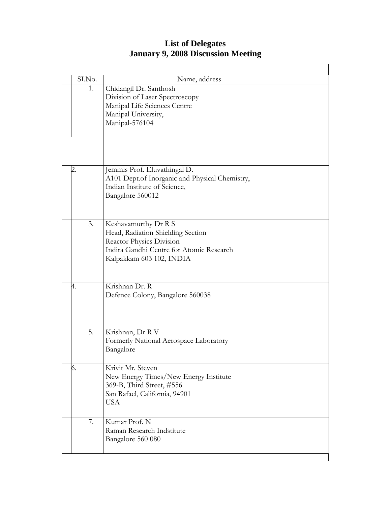### **List of Delegates January 9, 2008 Discussion Meeting**

| SI.No. | Name, address                                            |
|--------|----------------------------------------------------------|
| 1.     | Chidangil Dr. Santhosh<br>Division of Laser Spectroscopy |
|        | Manipal Life Sciences Centre                             |
|        | Manipal University,                                      |
|        | Manipal-576104                                           |
|        |                                                          |
|        |                                                          |
|        |                                                          |
| 2.     | Jemmis Prof. Eluvathingal D.                             |
|        | A101 Dept.of Inorganic and Physical Chemistry,           |
|        | Indian Institute of Science,                             |
|        | Bangalore 560012                                         |
|        |                                                          |
| 3.     | Keshavamurthy Dr R S                                     |
|        | Head, Radiation Shielding Section                        |
|        | Reactor Physics Division                                 |
|        | Indira Gandhi Centre for Atomic Research                 |
|        | Kalpakkam 603 102, INDIA                                 |
|        |                                                          |
| 4.     | Krishnan Dr. R                                           |
|        | Defence Colony, Bangalore 560038                         |
|        |                                                          |
|        |                                                          |
| 5.     | Krishnan, Dr R V                                         |
|        | Formerly National Aerospace Laboratory                   |
|        | Bangalore                                                |
| 6.     | Krivit Mr. Steven                                        |
|        | New Energy Times/New Energy Institute                    |
|        | 369-B, Third Street, #556                                |
|        | San Rafael, California, 94901                            |
|        | <b>USA</b>                                               |
| 7.     | Kumar Prof. N                                            |
|        | Raman Research Indstitute                                |
|        | Bangalore 560 080                                        |
|        |                                                          |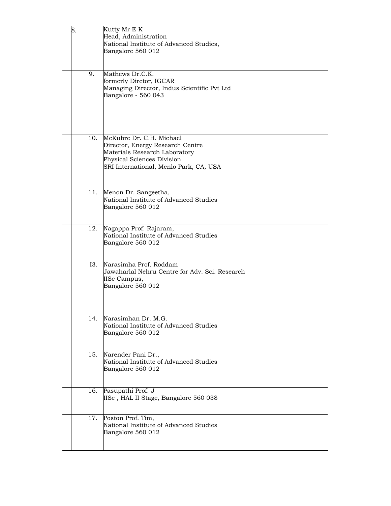| 8. |     | Kutty Mr E K                                                     |
|----|-----|------------------------------------------------------------------|
|    |     | Head, Administration<br>National Institute of Advanced Studies,  |
|    |     | Bangalore 560 012                                                |
|    |     |                                                                  |
|    | 9.  | Mathews Dr.C.K.                                                  |
|    |     | formerly Dirctor, IGCAR                                          |
|    |     | Managing Director, Indus Scientific Pvt Ltd                      |
|    |     | Bangalore - 560 043                                              |
|    |     |                                                                  |
|    |     |                                                                  |
|    |     |                                                                  |
|    | 10. | McKubre Dr. C.H. Michael                                         |
|    |     | Director, Energy Research Centre                                 |
|    |     | Materials Research Laboratory<br>Physical Sciences Division      |
|    |     | SRI International, Menlo Park, CA, USA                           |
|    |     |                                                                  |
|    |     |                                                                  |
|    | 11. | Menon Dr. Sangeetha,                                             |
|    |     | National Institute of Advanced Studies<br>Bangalore 560 012      |
|    |     |                                                                  |
|    |     |                                                                  |
|    | 12. | Nagappa Prof. Rajaram,<br>National Institute of Advanced Studies |
|    |     | Bangalore 560 012                                                |
|    |     |                                                                  |
|    | I3. | Narasimha Prof. Roddam                                           |
|    |     | Jawaharlal Nehru Centre for Adv. Sci. Research                   |
|    |     | IISc Campus,                                                     |
|    |     | Bangalore 560 012                                                |
|    |     |                                                                  |
|    |     |                                                                  |
|    | 14. | Narasimhan Dr. M.G.                                              |
|    |     | National Institute of Advanced Studies                           |
|    |     | Bangalore 560 012                                                |
|    |     |                                                                  |
|    | 15. | Narender Pani Dr.,<br>National Institute of Advanced Studies     |
|    |     | Bangalore 560 012                                                |
|    |     |                                                                  |
|    |     |                                                                  |
|    | 16. | Pasupathi Prof. J<br>IISe, HAL II Stage, Bangalore 560 038       |
|    |     |                                                                  |
|    | 17. |                                                                  |
|    |     | Poston Prof. Tim,<br>National Institute of Advanced Studies      |
|    |     | Bangalore 560 012                                                |
|    |     |                                                                  |
|    |     |                                                                  |
|    |     |                                                                  |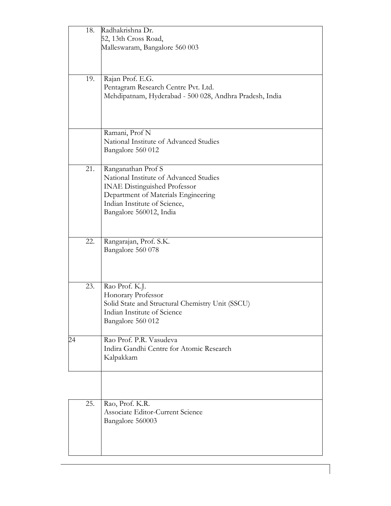|    | 18. | Radhakrishna Dr.                                                    |
|----|-----|---------------------------------------------------------------------|
|    |     | 52, 13th Cross Road,                                                |
|    |     | Malleswaram, Bangalore 560 003                                      |
|    |     |                                                                     |
|    | 19. | Rajan Prof. E.G.                                                    |
|    |     | Pentagram Research Centre Pvt. Ltd.                                 |
|    |     | Mehdipatnam, Hyderabad - 500 028, Andhra Pradesh, India             |
|    |     |                                                                     |
|    |     |                                                                     |
|    |     | Ramani, Prof N                                                      |
|    |     | National Institute of Advanced Studies                              |
|    |     | Bangalore 560 012                                                   |
|    | 21. | Ranganathan Prof S                                                  |
|    |     | National Institute of Advanced Studies                              |
|    |     | <b>INAE Distinguished Professor</b>                                 |
|    |     | Department of Materials Engineering<br>Indian Institute of Science, |
|    |     | Bangalore 560012, India                                             |
|    |     |                                                                     |
|    |     |                                                                     |
|    | 22. | Rangarajan, Prof. S.K.<br>Bangalore 560 078                         |
|    |     |                                                                     |
|    |     |                                                                     |
|    | 23. |                                                                     |
|    |     | Rao Prof. K.J.<br>Honorary Professor                                |
|    |     | Solid State and Structural Chemistry Unit (SSCU)                    |
|    |     | Indian Institute of Science                                         |
|    |     | Bangalore 560 012                                                   |
| 24 |     | Rao Prof. P.R. Vasudeva                                             |
|    |     | Indira Gandhi Centre for Atomic Research                            |
|    |     | Kalpakkam                                                           |
|    |     |                                                                     |
|    |     |                                                                     |
|    | 25. | Rao, Prof. K.R.                                                     |
|    |     | Associate Editor-Current Science                                    |
|    |     | Bangalore 560003                                                    |
|    |     |                                                                     |
|    |     |                                                                     |
|    |     |                                                                     |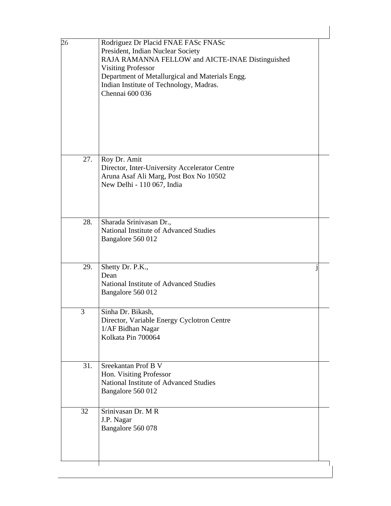| 26  | Rodriguez Dr Placid FNAE FASc FNASc<br>President, Indian Nuclear Society<br>RAJA RAMANNA FELLOW and AICTE-INAE Distinguished<br><b>Visiting Professor</b><br>Department of Metallurgical and Materials Engg.<br>Indian Institute of Technology, Madras.<br>Chennai 600 036 |
|-----|----------------------------------------------------------------------------------------------------------------------------------------------------------------------------------------------------------------------------------------------------------------------------|
| 27. | Roy Dr. Amit<br>Director, Inter-University Accelerator Centre<br>Aruna Asaf Ali Marg, Post Box No 10502<br>New Delhi - 110 067, India                                                                                                                                      |
| 28. | Sharada Srinivasan Dr.,<br>National Institute of Advanced Studies<br>Bangalore 560 012                                                                                                                                                                                     |
| 29. | Shetty Dr. P.K.,<br>Dean<br>National Institute of Advanced Studies<br>Bangalore 560 012                                                                                                                                                                                    |
| 3   | Sinha Dr. Bikash,<br>Director, Variable Energy Cyclotron Centre<br>1/AF Bidhan Nagar<br>Kolkata Pin 700064                                                                                                                                                                 |
| 31. | Sreekantan Prof B V<br>Hon. Visiting Professor<br>National Institute of Advanced Studies<br>Bangalore 560 012                                                                                                                                                              |
| 32  | Srinivasan Dr. M R<br>J.P. Nagar<br>Bangalore 560 078                                                                                                                                                                                                                      |